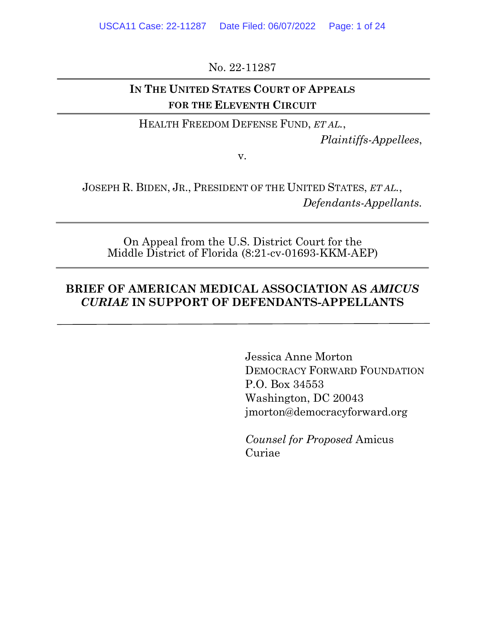No. 22-11287

## **IN THE UNITED STATES COURT OF APPEALS FOR THE ELEVENTH CIRCUIT**

HEALTH FREEDOM DEFENSE FUND, *ET AL.*,

*Plaintiffs-Appellees*,

v.

JOSEPH R. BIDEN, JR., PRESIDENT OF THE UNITED STATES, *ET AL.*, *Defendants-Appellants.*

On Appeal from the U.S. District Court for the Middle District of Florida (8:21-cv-01693-KKM-AEP)

## **BRIEF OF AMERICAN MEDICAL ASSOCIATION AS** *AMICUS CURIAE* **IN SUPPORT OF DEFENDANTS-APPELLANTS**

Jessica Anne Morton DEMOCRACY FORWARD FOUNDATION P.O. Box 34553 Washington, DC 20043 jmorton@democracyforward.org

*Counsel for Proposed* Amicus Curiae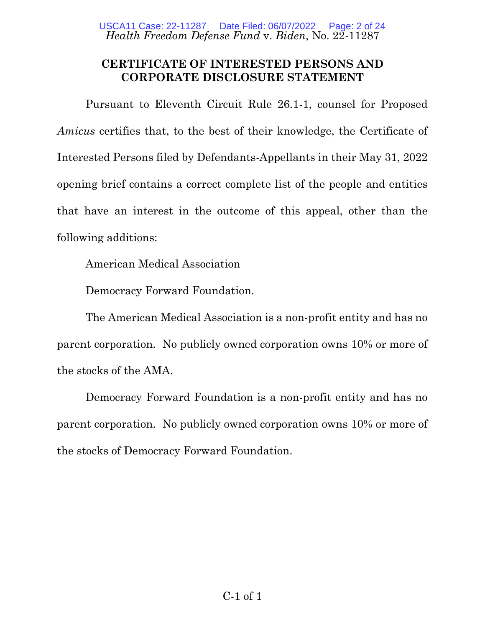*Health Freedom Defense Fund* v. *Biden*, No. 22-11287 USCA11 Case: 22-11287 Date Filed: 06/07/2022 Page: 2 of 24

### **CERTIFICATE OF INTERESTED PERSONS AND CORPORATE DISCLOSURE STATEMENT**

Pursuant to Eleventh Circuit Rule 26.1-1, counsel for Proposed *Amicus* certifies that, to the best of their knowledge, the Certificate of Interested Persons filed by Defendants-Appellants in their May 31, 2022 opening brief contains a correct complete list of the people and entities that have an interest in the outcome of this appeal, other than the following additions:

American Medical Association

Democracy Forward Foundation.

The American Medical Association is a non-profit entity and has no parent corporation. No publicly owned corporation owns 10% or more of the stocks of the AMA.

Democracy Forward Foundation is a non-profit entity and has no parent corporation. No publicly owned corporation owns 10% or more of the stocks of Democracy Forward Foundation.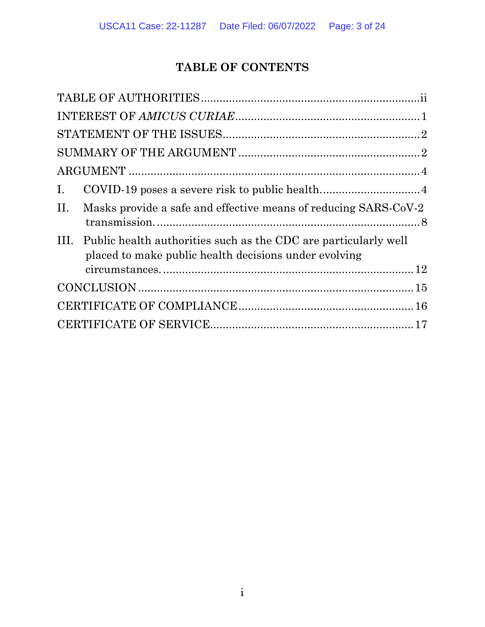# **TABLE OF CONTENTS**

| Ι. |                                                                                                                               |  |
|----|-------------------------------------------------------------------------------------------------------------------------------|--|
| П. | Masks provide a safe and effective means of reducing SARS-CoV-2                                                               |  |
|    | III. Public health authorities such as the CDC are particularly well<br>placed to make public health decisions under evolving |  |
|    |                                                                                                                               |  |
|    |                                                                                                                               |  |
|    |                                                                                                                               |  |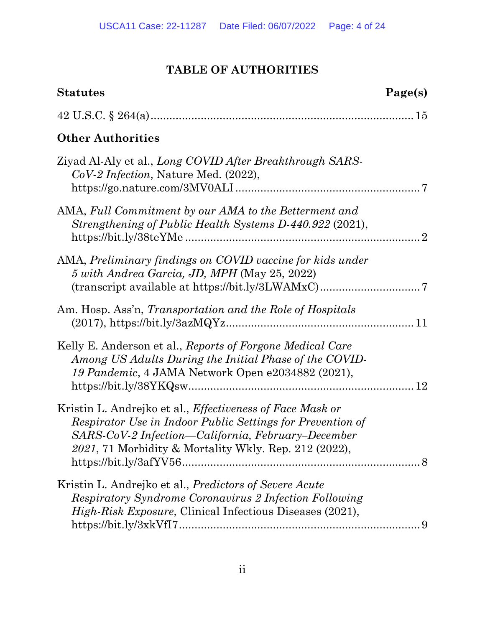# **TABLE OF AUTHORITIES**

<span id="page-3-0"></span>

| <b>Statutes</b>                                                                                                                                                                                                                               | Page(s) |
|-----------------------------------------------------------------------------------------------------------------------------------------------------------------------------------------------------------------------------------------------|---------|
|                                                                                                                                                                                                                                               |         |
| <b>Other Authorities</b>                                                                                                                                                                                                                      |         |
| Ziyad Al-Aly et al., <i>Long COVID After Breakthrough SARS</i><br>CoV-2 Infection, Nature Med. (2022),                                                                                                                                        |         |
| AMA, Full Commitment by our AMA to the Betterment and<br>Strengthening of Public Health Systems D-440.922 (2021),                                                                                                                             |         |
| AMA, Preliminary findings on COVID vaccine for kids under<br>5 with Andrea Garcia, JD, MPH (May 25, 2022)<br>$(\text{transcript available at \textit{https://bit.ly/3LWAMxC})}.\dots.\dots.\dots.\dots.\dots.\dots.\dots.7$                   |         |
| Am. Hosp. Ass'n, Transportation and the Role of Hospitals                                                                                                                                                                                     |         |
| Kelly E. Anderson et al., Reports of Forgone Medical Care<br>Among US Adults During the Initial Phase of the COVID-<br>19 Pandemic, 4 JAMA Network Open e2034882 (2021),                                                                      |         |
| Kristin L. Andrejko et al., <i>Effectiveness of Face Mask or</i><br>Respirator Use in Indoor Public Settings for Prevention of<br>SARS-CoV-2 Infection—California, February–December<br>2021, 71 Morbidity & Mortality Wkly. Rep. 212 (2022), |         |
| Kristin L. Andrejko et al., <i>Predictors of Severe Acute</i><br>Respiratory Syndrome Coronavirus 2 Infection Following<br>High-Risk Exposure, Clinical Infectious Diseases (2021),                                                           |         |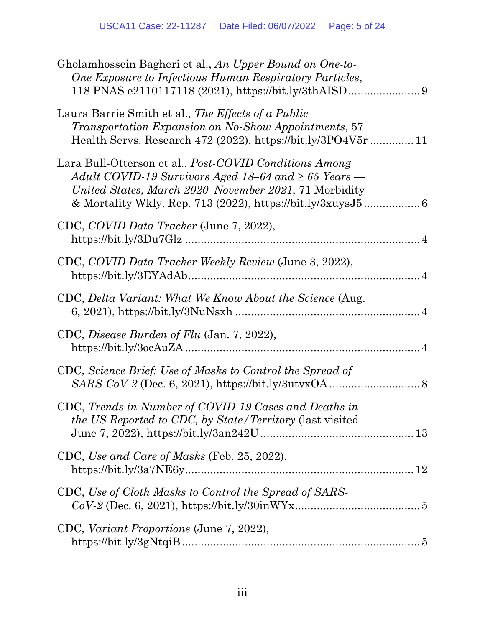| Gholamhossein Bagheri et al., An Upper Bound on One-to-<br>One Exposure to Infectious Human Respiratory Particles,                                                                  |
|-------------------------------------------------------------------------------------------------------------------------------------------------------------------------------------|
| Laura Barrie Smith et al., The Effects of a Public<br>Transportation Expansion on No-Show Appointments, 57<br>Health Servs. Research 472 (2022), https://bit.ly/3PO4V5r  11         |
| Lara Bull-Otterson et al., <i>Post-COVID Conditions Among</i><br>Adult COVID-19 Survivors Aged 18–64 and $\geq 65$ Years —<br>United States, March 2020–November 2021, 71 Morbidity |
| CDC, COVID Data Tracker (June 7, 2022),                                                                                                                                             |
| CDC, COVID Data Tracker Weekly Review (June 3, 2022),                                                                                                                               |
| CDC, Delta Variant: What We Know About the Science (Aug.                                                                                                                            |
| CDC, Disease Burden of Flu (Jan. 7, 2022),                                                                                                                                          |
| CDC, Science Brief: Use of Masks to Control the Spread of                                                                                                                           |
| CDC, Trends in Number of COVID-19 Cases and Deaths in<br>the US Reported to CDC, by State/Territory (last visited                                                                   |
| CDC, Use and Care of Masks (Feb. 25, 2022),                                                                                                                                         |
| CDC, Use of Cloth Masks to Control the Spread of SARS-                                                                                                                              |
| CDC, Variant Proportions (June 7, 2022),                                                                                                                                            |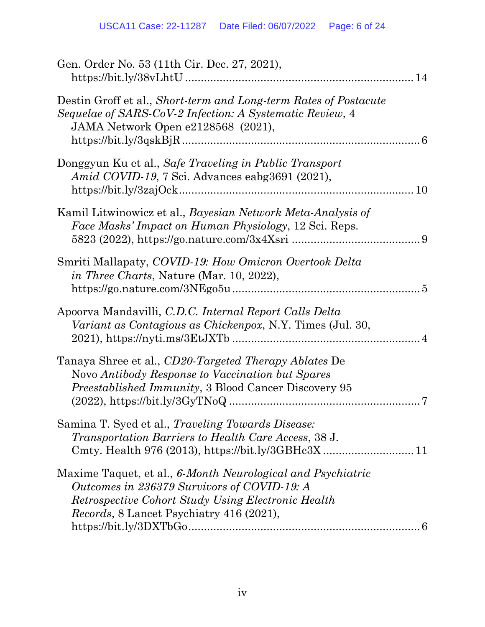| Gen. Order No. 53 (11th Cir. Dec. 27, 2021),<br>14                                                                                                                                                                   |  |
|----------------------------------------------------------------------------------------------------------------------------------------------------------------------------------------------------------------------|--|
| Destin Groff et al., Short-term and Long-term Rates of Postacute<br>Sequelae of SARS-CoV-2 Infection: A Systematic Review, 4<br>JAMA Network Open e2128568 (2021),                                                   |  |
| Donggyun Ku et al., Safe Traveling in Public Transport<br><i>Amid COVID-19</i> , 7 Sci. Advances eabg3691 (2021),<br>10                                                                                              |  |
| Kamil Litwinowicz et al., Bayesian Network Meta-Analysis of<br>Face Masks' Impact on Human Physiology, 12 Sci. Reps.                                                                                                 |  |
| Smriti Mallapaty, COVID-19: How Omicron Overtook Delta<br><i>in Three Charts</i> , Nature (Mar. 10, 2022),                                                                                                           |  |
| Apoorva Mandavilli, C.D.C. Internal Report Calls Delta<br><i>Variant as Contagious as Chickenpox, N.Y. Times (Jul. 30,</i>                                                                                           |  |
| Tanaya Shree et al., CD20-Targeted Therapy Ablates De<br>Novo Antibody Response to Vaccination but Spares<br><i>Preestablished Immunity</i> , 3 Blood Cancer Discovery 95                                            |  |
| Samina T. Syed et al., <i>Traveling Towards Disease</i> :<br><i>Transportation Barriers to Health Care Access, 38 J.</i>                                                                                             |  |
| Maxime Taquet, et al., 6-Month Neurological and Psychiatric<br>Outcomes in 236379 Survivors of COVID-19: A<br>Retrospective Cohort Study Using Electronic Health<br><i>Records</i> , 8 Lancet Psychiatry 416 (2021), |  |
|                                                                                                                                                                                                                      |  |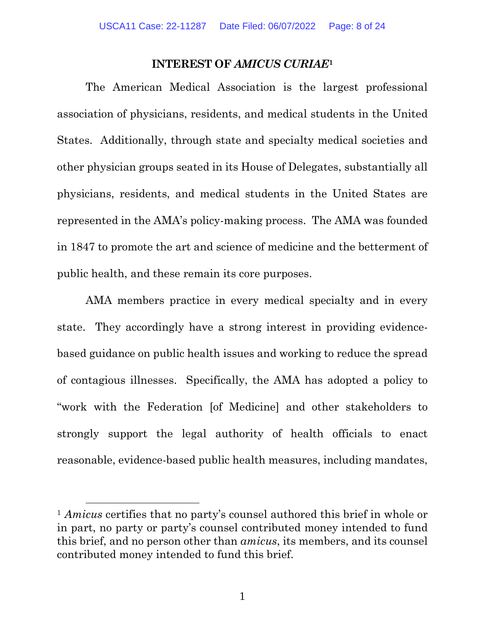#### **INTEREST OF** *AMICUS CURIAE***[1](#page-7-1)**

<span id="page-7-0"></span>The American Medical Association is the largest professional association of physicians, residents, and medical students in the United States. Additionally, through state and specialty medical societies and other physician groups seated in its House of Delegates, substantially all physicians, residents, and medical students in the United States are represented in the AMA's policy-making process. The AMA was founded in 1847 to promote the art and science of medicine and the betterment of public health, and these remain its core purposes.

AMA members practice in every medical specialty and in every state. They accordingly have a strong interest in providing evidencebased guidance on public health issues and working to reduce the spread of contagious illnesses. Specifically, the AMA has adopted a policy to "work with the Federation [of Medicine] and other stakeholders to strongly support the legal authority of health officials to enact reasonable, evidence-based public health measures, including mandates,

<span id="page-7-1"></span><sup>1</sup> *Amicus* certifies that no party's counsel authored this brief in whole or in part, no party or party's counsel contributed money intended to fund this brief, and no person other than *amicus*, its members, and its counsel contributed money intended to fund this brief.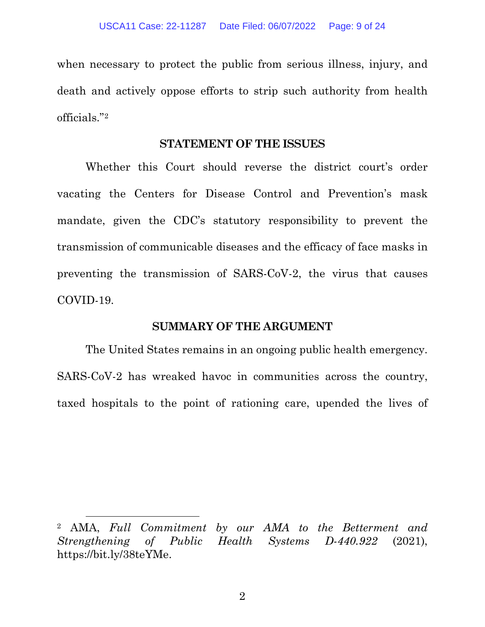when necessary to protect the public from serious illness, injury, and death and actively oppose efforts to strip such authority from health officials."[2](#page-8-2)

#### **STATEMENT OF THE ISSUES**

<span id="page-8-0"></span>Whether this Court should reverse the district court's order vacating the Centers for Disease Control and Prevention's mask mandate, given the CDC's statutory responsibility to prevent the transmission of communicable diseases and the efficacy of face masks in preventing the transmission of SARS-CoV-2, the virus that causes COVID-19.

### **SUMMARY OF THE ARGUMENT**

<span id="page-8-1"></span>The United States remains in an ongoing public health emergency. SARS-CoV-2 has wreaked havoc in communities across the country, taxed hospitals to the point of rationing care, upended the lives of

2

<span id="page-8-2"></span><sup>2</sup> AMA, *Full Commitment by our AMA to the Betterment and Strengthening of Public Health Systems D-440.922* (2021), https://bit.ly/38teYMe.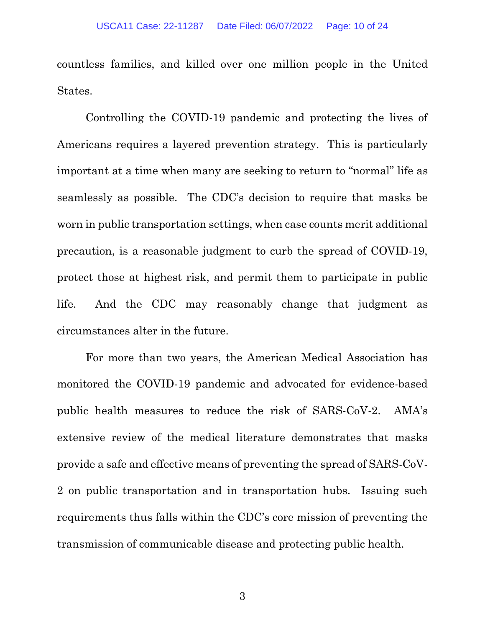countless families, and killed over one million people in the United States.

Controlling the COVID-19 pandemic and protecting the lives of Americans requires a layered prevention strategy. This is particularly important at a time when many are seeking to return to "normal" life as seamlessly as possible. The CDC's decision to require that masks be worn in public transportation settings, when case counts merit additional precaution, is a reasonable judgment to curb the spread of COVID-19, protect those at highest risk, and permit them to participate in public life. And the CDC may reasonably change that judgment as circumstances alter in the future.

For more than two years, the American Medical Association has monitored the COVID-19 pandemic and advocated for evidence-based public health measures to reduce the risk of SARS-CoV-2. AMA's extensive review of the medical literature demonstrates that masks provide a safe and effective means of preventing the spread of SARS-CoV-2 on public transportation and in transportation hubs. Issuing such requirements thus falls within the CDC's core mission of preventing the transmission of communicable disease and protecting public health.

3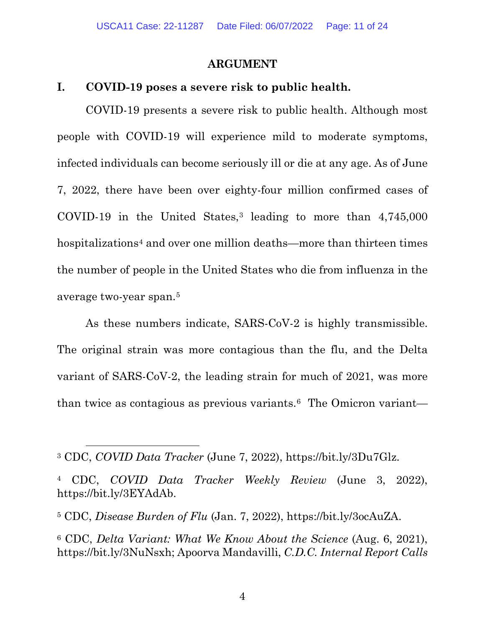#### **ARGUMENT**

#### <span id="page-10-1"></span><span id="page-10-0"></span>**I. COVID-19 poses a severe risk to public health.**

COVID-19 presents a severe risk to public health. Although most people with COVID-19 will experience mild to moderate symptoms, infected individuals can become seriously ill or die at any age. As of June 7, 2022, there have been over eighty-four million confirmed cases of COVID-19 in the United States,<sup>[3](#page-10-2)</sup> leading to more than  $4,745,000$ hospitalizations<sup>4</sup> and over one million deaths—more than thirteen times the number of people in the United States who die from influenza in the average two-year span.[5](#page-10-4)

As these numbers indicate, SARS-CoV-2 is highly transmissible. The original strain was more contagious than the flu, and the Delta variant of SARS-CoV-2, the leading strain for much of 2021, was more than twice as contagious as previous variants.<sup>[6](#page-10-5)</sup> The Omicron variant—

<span id="page-10-2"></span><sup>3</sup> CDC, *COVID Data Tracker* (June 7, 2022), https://bit.ly/3Du7Glz.

<span id="page-10-3"></span><sup>4</sup> CDC, *COVID Data Tracker Weekly Review* (June 3, 2022), https://bit.ly/3EYAdAb.

<span id="page-10-4"></span><sup>5</sup> CDC, *Disease Burden of Flu* (Jan. 7, 2022), https://bit.ly/3ocAuZA.

<span id="page-10-5"></span><sup>6</sup> CDC, *Delta Variant: What We Know About the Science* (Aug. 6, 2021), https://bit.ly/3NuNsxh; Apoorva Mandavilli, *C.D.C. Internal Report Calls*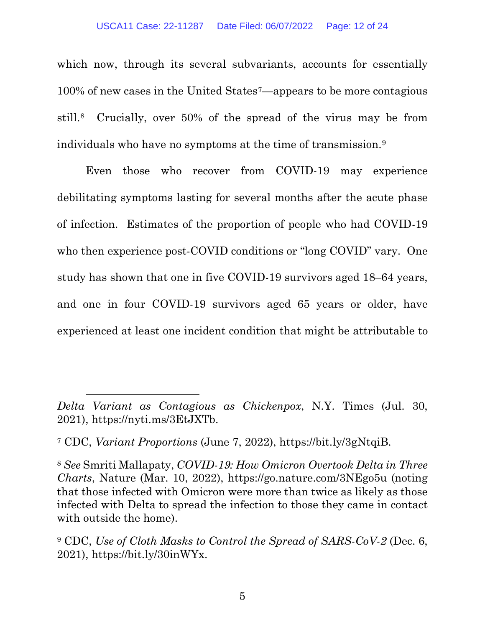which now, through its several subvariants, accounts for essentially 100% of new cases in the United States[7—](#page-11-0)appears to be more contagious still.[8](#page-11-1) Crucially, over 50% of the spread of the virus may be from individuals who have no symptoms at the time of transmission.[9](#page-11-2)

Even those who recover from COVID-19 may experience debilitating symptoms lasting for several months after the acute phase of infection. Estimates of the proportion of people who had COVID-19 who then experience post-COVID conditions or "long COVID" vary. One study has shown that one in five COVID-19 survivors aged 18–64 years, and one in four COVID-19 survivors aged 65 years or older, have experienced at least one incident condition that might be attributable to

*Delta Variant as Contagious as Chickenpox*, N.Y. Times (Jul. 30, 2021), [https://nyti.ms/3EtJXTb.](https://nyti.ms/3EtJXTb)

<span id="page-11-0"></span><sup>7</sup> CDC, *Variant Proportions* (June 7, 2022), https://bit.ly/3gNtqiB.

<span id="page-11-1"></span><sup>8</sup> *See* Smriti Mallapaty, *COVID-19: How Omicron Overtook Delta in Three Charts*, Nature (Mar. 10, 2022), https://go.nature.com/3NEgo5u (noting that those infected with Omicron were more than twice as likely as those infected with Delta to spread the infection to those they came in contact with outside the home).

<span id="page-11-2"></span><sup>9</sup> CDC, *Use of Cloth Masks to Control the Spread of SARS-CoV-2* (Dec. 6, 2021), https://bit.ly/30inWYx.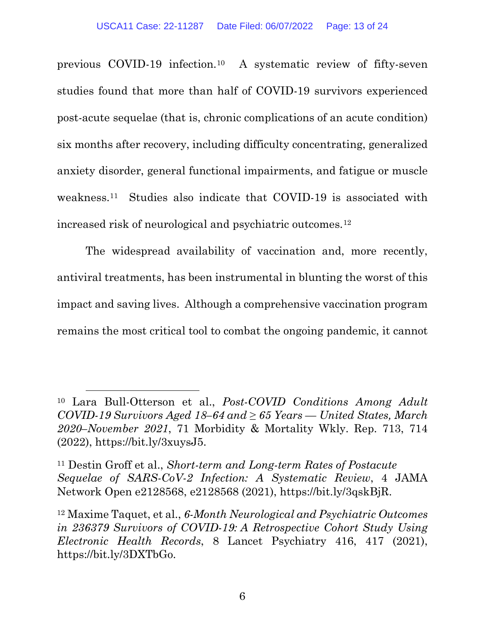previous COVID-19 infection.[10](#page-12-0) A systematic review of fifty-seven studies found that more than half of COVID-19 survivors experienced post-acute sequelae (that is, chronic complications of an acute condition) six months after recovery, including difficulty concentrating, generalized anxiety disorder, general functional impairments, and fatigue or muscle weakness.[11](#page-12-1) Studies also indicate that COVID-19 is associated with increased risk of neurological and psychiatric outcomes.[12](#page-12-2)

The widespread availability of vaccination and, more recently, antiviral treatments, has been instrumental in blunting the worst of this impact and saving lives. Although a comprehensive vaccination program remains the most critical tool to combat the ongoing pandemic, it cannot

<span id="page-12-0"></span><sup>10</sup> Lara Bull-Otterson et al., *Post-COVID Conditions Among Adult COVID-19 Survivors Aged 18–64 and ≥ 65 Years — United States, March 2020–November 2021*, 71 Morbidity & Mortality Wkly. Rep. 713, 714 (2022), https://bit.ly/3xuysJ5.

<span id="page-12-1"></span><sup>11</sup> Destin Groff et al., *Short-term and Long-term Rates of Postacute Sequelae of SARS-CoV-2 Infection: A Systematic Review*, 4 JAMA Network Open e2128568, e2128568 (2021), https://bit.ly/3qskBjR.

<span id="page-12-2"></span><sup>12</sup> Maxime Taquet, et al., *6-Month Neurological and Psychiatric Outcomes in 236379 Survivors of COVID-19: A Retrospective Cohort Study Using Electronic Health Records*, 8 Lancet Psychiatry 416, 417 (2021), https://bit.ly/3DXTbGo.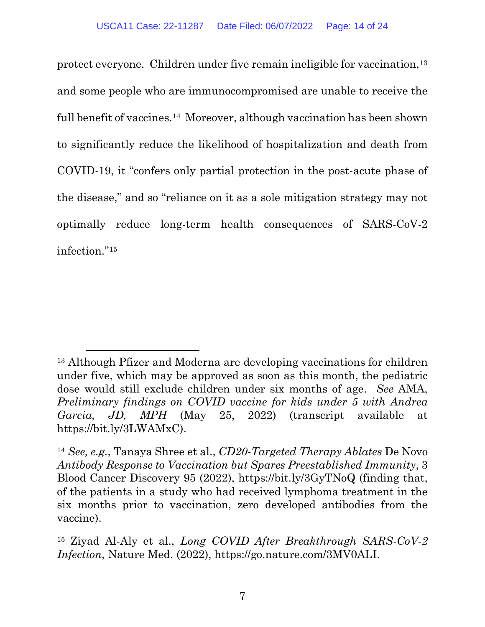protect everyone. Children under five remain ineligible for vaccination,[13](#page-13-0) and some people who are immunocompromised are unable to receive the full benefit of vaccines.[14](#page-13-1) Moreover, although vaccination has been shown to significantly reduce the likelihood of hospitalization and death from COVID-19, it "confers only partial protection in the post-acute phase of the disease," and so "reliance on it as a sole mitigation strategy may not optimally reduce long-term health consequences of SARS-CoV-2 infection."[15](#page-13-2)

<span id="page-13-0"></span><sup>13</sup> Although Pfizer and Moderna are developing vaccinations for children under five, which may be approved as soon as this month, the pediatric dose would still exclude children under six months of age. *See* AMA, *Preliminary findings on COVID vaccine for kids under 5 with Andrea Garcia, JD, MPH* (May 25, 2022) (transcript available at https://bit.ly/3LWAMxC).

<span id="page-13-1"></span><sup>14</sup> *See, e.g.*, Tanaya Shree et al., *CD20-Targeted Therapy Ablates* De Novo *Antibody Response to Vaccination but Spares Preestablished Immunity*, 3 Blood Cancer Discovery 95 (2022), https://bit.ly/3GyTNoQ (finding that, of the patients in a study who had received lymphoma treatment in the six months prior to vaccination, zero developed antibodies from the vaccine).

<span id="page-13-2"></span><sup>15</sup> Ziyad Al-Aly et al., *Long COVID After Breakthrough SARS-CoV-2 Infection*, Nature Med. (2022), https://go.nature.com/3MV0ALI.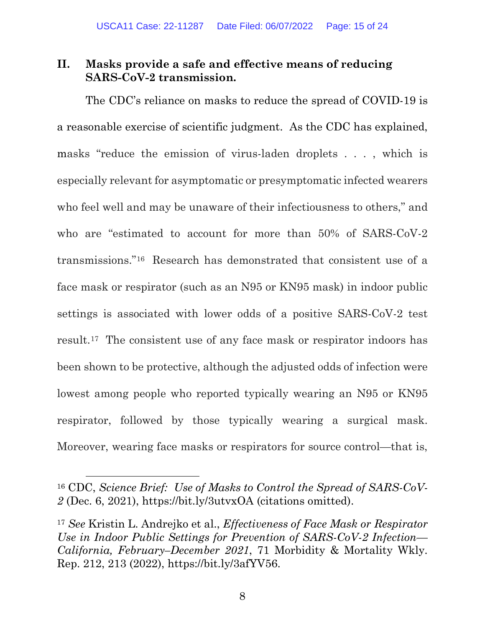## <span id="page-14-0"></span>**II. Masks provide a safe and effective means of reducing SARS-CoV-2 transmission.**

The CDC's reliance on masks to reduce the spread of COVID-19 is a reasonable exercise of scientific judgment. As the CDC has explained, masks "reduce the emission of virus-laden droplets . . . , which is especially relevant for asymptomatic or presymptomatic infected wearers who feel well and may be unaware of their infectiousness to others," and who are "estimated to account for more than 50% of SARS-CoV-2 transmissions."[16](#page-14-1) Research has demonstrated that consistent use of a face mask or respirator (such as an N95 or KN95 mask) in indoor public settings is associated with lower odds of a positive SARS-CoV-2 test result[.17](#page-14-2) The consistent use of any face mask or respirator indoors has been shown to be protective, although the adjusted odds of infection were lowest among people who reported typically wearing an N95 or KN95 respirator, followed by those typically wearing a surgical mask. Moreover, wearing face masks or respirators for source control—that is,

<span id="page-14-1"></span><sup>16</sup> CDC, *Science Brief: Use of Masks to Control the Spread of SARS-CoV-2* (Dec. 6, 2021), https://bit.ly/3utvxOA (citations omitted).

<span id="page-14-2"></span><sup>17</sup> *See* Kristin L. Andrejko et al., *Effectiveness of Face Mask or Respirator Use in Indoor Public Settings for Prevention of SARS-CoV-2 Infection— California, February–December 2021*, 71 Morbidity & Mortality Wkly. Rep. 212, 213 (2022), https://bit.ly/3afYV56.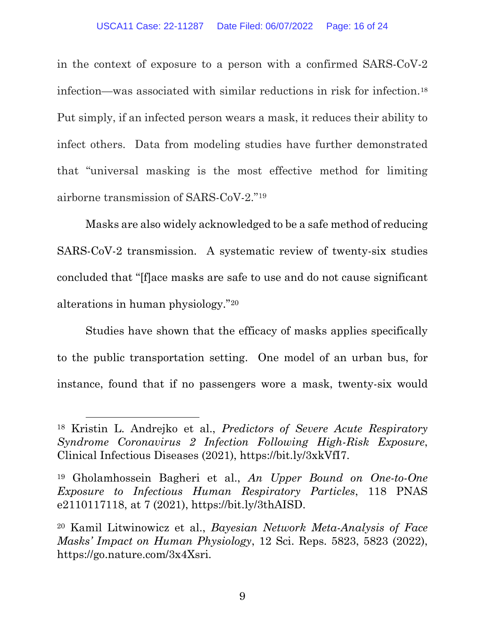in the context of exposure to a person with a confirmed SARS-CoV-2 infection—was associated with similar reductions in risk for infection.[18](#page-15-0) Put simply, if an infected person wears a mask, it reduces their ability to infect others. Data from modeling studies have further demonstrated that "universal masking is the most effective method for limiting airborne transmission of SARS-CoV-2."[19](#page-15-1)

Masks are also widely acknowledged to be a safe method of reducing SARS-CoV-2 transmission. A systematic review of twenty-six studies concluded that "[f]ace masks are safe to use and do not cause significant alterations in human physiology."[20](#page-15-2)

Studies have shown that the efficacy of masks applies specifically to the public transportation setting. One model of an urban bus, for instance, found that if no passengers wore a mask, twenty-six would

<span id="page-15-0"></span><sup>18</sup> Kristin L. Andrejko et al., *Predictors of Severe Acute Respiratory Syndrome Coronavirus 2 Infection Following High-Risk Exposure*, Clinical Infectious Diseases (2021), https://bit.ly/3xkVfI7.

<span id="page-15-1"></span><sup>19</sup> Gholamhossein Bagheri et al., *An Upper Bound on One-to-One Exposure to Infectious Human Respiratory Particles*, 118 PNAS e2110117118, at 7 (2021), https://bit.ly/3thAISD.

<span id="page-15-2"></span><sup>20</sup> Kamil Litwinowicz et al., *Bayesian Network Meta-Analysis of Face Masks' Impact on Human Physiology*, 12 Sci. Reps. 5823, 5823 (2022), https://go.nature.com/3x4Xsri.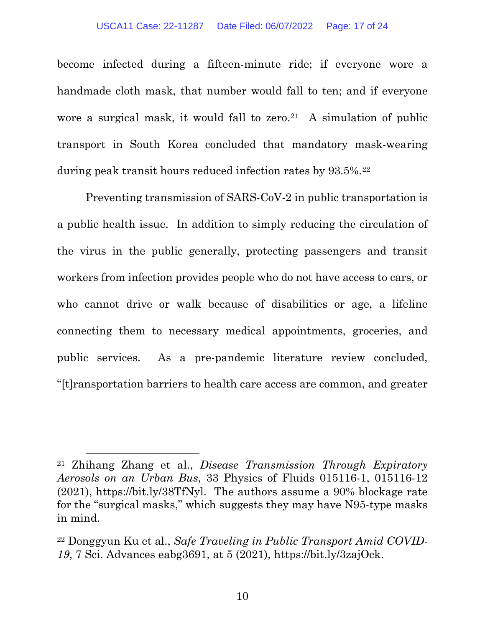become infected during a fifteen-minute ride; if everyone wore a handmade cloth mask, that number would fall to ten; and if everyone wore a surgical mask, it would fall to zero.<sup>[21](#page-16-0)</sup> A simulation of public transport in South Korea concluded that mandatory mask-wearing during peak transit hours reduced infection rates by 93.5%.<sup>[22](#page-16-1)</sup>

Preventing transmission of SARS-CoV-2 in public transportation is a public health issue. In addition to simply reducing the circulation of the virus in the public generally, protecting passengers and transit workers from infection provides people who do not have access to cars, or who cannot drive or walk because of disabilities or age, a lifeline connecting them to necessary medical appointments, groceries, and public services. As a pre-pandemic literature review concluded, "[t]ransportation barriers to health care access are common, and greater

<span id="page-16-0"></span><sup>21</sup> Zhihang Zhang et al., *Disease Transmission Through Expiratory Aerosols on an Urban Bus*, 33 Physics of Fluids 015116-1, 015116-12 (2021), https://bit.ly/38TfNyl. The authors assume a 90% blockage rate for the "surgical masks," which suggests they may have N95-type masks in mind.

<span id="page-16-1"></span><sup>22</sup> Donggyun Ku et al., *Safe Traveling in Public Transport Amid COVID-19*, 7 Sci. Advances eabg3691, at 5 (2021), https://bit.ly/3zajOck.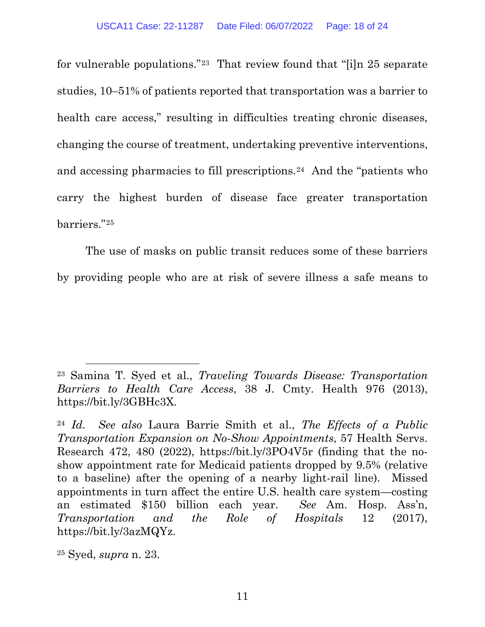for vulnerable populations."[23](#page-17-0) That review found that "[i]n 25 separate studies, 10–51% of patients reported that transportation was a barrier to health care access," resulting in difficulties treating chronic diseases, changing the course of treatment, undertaking preventive interventions, and accessing pharmacies to fill prescriptions.[24](#page-17-1) And the "patients who carry the highest burden of disease face greater transportation barriers."[25](#page-17-2)

The use of masks on public transit reduces some of these barriers by providing people who are at risk of severe illness a safe means to

<span id="page-17-0"></span><sup>23</sup> Samina T. Syed et al., *Traveling Towards Disease: Transportation Barriers to Health Care Access*, 38 J. Cmty. Health 976 (2013), https://bit.ly/3GBHc3X.

<span id="page-17-1"></span><sup>24</sup> *Id. See also* Laura Barrie Smith et al., *The Effects of a Public Transportation Expansion on No-Show Appointments*, 57 Health Servs. Research 472, 480 (2022), https://bit.ly/3PO4V5r (finding that the noshow appointment rate for Medicaid patients dropped by 9.5% (relative to a baseline) after the opening of a nearby light-rail line). Missed appointments in turn affect the entire U.S. health care system—costing an estimated \$150 billion each year. *See* Am. Hosp. Ass'n, *Transportation and the Role of Hospitals* 12 (2017), https://bit.ly/3azMQYz.

<span id="page-17-2"></span><sup>25</sup> Syed, *supra* n. 23.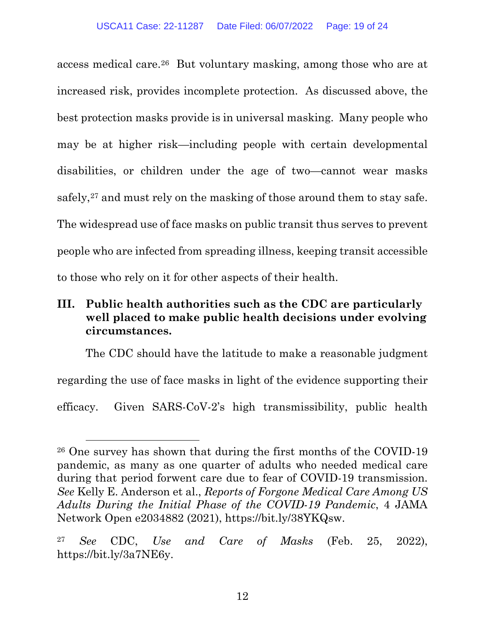access medical care.[26](#page-18-1) But voluntary masking, among those who are at increased risk, provides incomplete protection. As discussed above, the best protection masks provide is in universal masking. Many people who may be at higher risk—including people with certain developmental disabilities, or children under the age of two—cannot wear masks safely,<sup>[27](#page-18-2)</sup> and must rely on the masking of those around them to stay safe. The widespread use of face masks on public transit thus serves to prevent people who are infected from spreading illness, keeping transit accessible to those who rely on it for other aspects of their health.

## <span id="page-18-0"></span>**III. Public health authorities such as the CDC are particularly well placed to make public health decisions under evolving circumstances.**

The CDC should have the latitude to make a reasonable judgment regarding the use of face masks in light of the evidence supporting their efficacy. Given SARS-CoV-2's high transmissibility, public health

<span id="page-18-1"></span><sup>26</sup> One survey has shown that during the first months of the COVID-19 pandemic, as many as one quarter of adults who needed medical care during that period forwent care due to fear of COVID-19 transmission. *See* Kelly E. Anderson et al., *Reports of Forgone Medical Care Among US Adults During the Initial Phase of the COVID-19 Pandemic*, 4 JAMA Network Open e2034882 (2021), https://bit.ly/38YKQsw.

<span id="page-18-2"></span><sup>27</sup> *See* CDC, *Use and Care of Masks* (Feb. 25, 2022), https://bit.ly/3a7NE6y.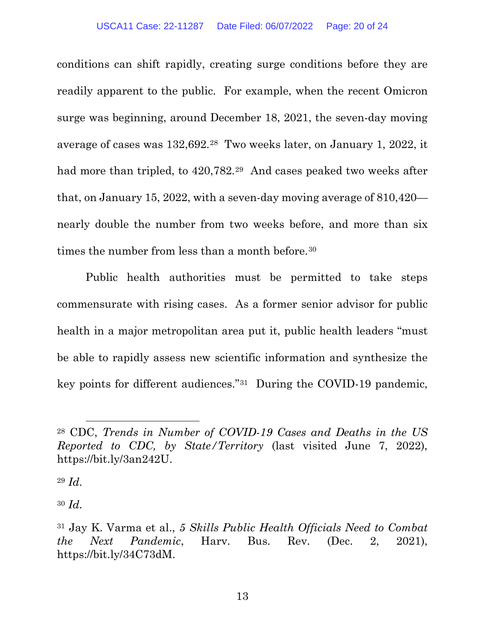conditions can shift rapidly, creating surge conditions before they are readily apparent to the public. For example, when the recent Omicron surge was beginning, around December 18, 2021, the seven-day moving average of cases was 132,692.[28](#page-19-0) Two weeks later, on January 1, 2022, it had more than tripled, to 420,782.[29](#page-19-1) And cases peaked two weeks after that, on January 15, 2022, with a seven-day moving average of 810,420 nearly double the number from two weeks before, and more than six times the number from less than a month before.<sup>[30](#page-19-2)</sup>

Public health authorities must be permitted to take steps commensurate with rising cases. As a former senior advisor for public health in a major metropolitan area put it, public health leaders "must be able to rapidly assess new scientific information and synthesize the key points for different audiences."[31](#page-19-3) During the COVID-19 pandemic,

<span id="page-19-1"></span><sup>29</sup> *Id.*

<span id="page-19-2"></span><sup>30</sup> *Id.*

<span id="page-19-0"></span><sup>28</sup> CDC, *Trends in Number of COVID-19 Cases and Deaths in the US Reported to CDC, by State/Territory* (last visited June 7, 2022), https://bit.ly/3an242U.

<span id="page-19-3"></span><sup>31</sup> Jay K. Varma et al., *5 Skills Public Health Officials Need to Combat the Next Pandemic*, Harv. Bus. Rev. (Dec. 2, 2021), https://bit.ly/34C73dM.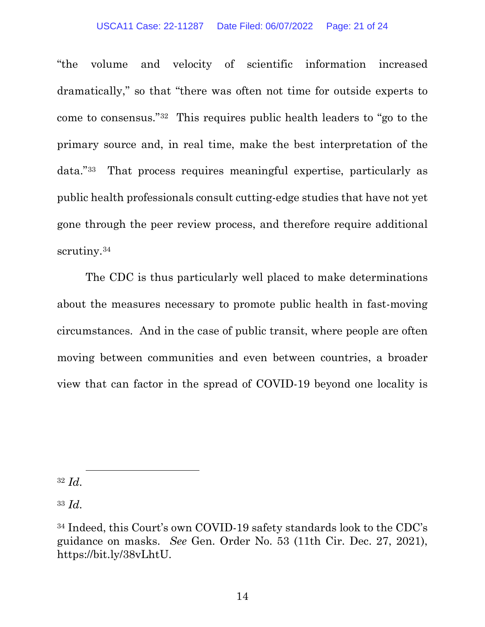#### USCA11 Case: 22-11287 Date Filed: 06/07/2022 Page: 21 of 24

"the volume and velocity of scientific information increased dramatically," so that "there was often not time for outside experts to come to consensus."[32](#page-20-0) This requires public health leaders to "go to the primary source and, in real time, make the best interpretation of the data."[33](#page-20-1) That process requires meaningful expertise, particularly as public health professionals consult cutting-edge studies that have not yet gone through the peer review process, and therefore require additional scrutiny.<sup>[34](#page-20-2)</sup>

The CDC is thus particularly well placed to make determinations about the measures necessary to promote public health in fast-moving circumstances. And in the case of public transit, where people are often moving between communities and even between countries, a broader view that can factor in the spread of COVID-19 beyond one locality is

<span id="page-20-0"></span><sup>32</sup> *Id.*

<span id="page-20-1"></span><sup>33</sup> *Id.*

<span id="page-20-2"></span><sup>34</sup> Indeed, this Court's own COVID-19 safety standards look to the CDC's guidance on masks. *See* Gen. Order No. 53 (11th Cir. Dec. 27, 2021), https://bit.ly/38vLhtU.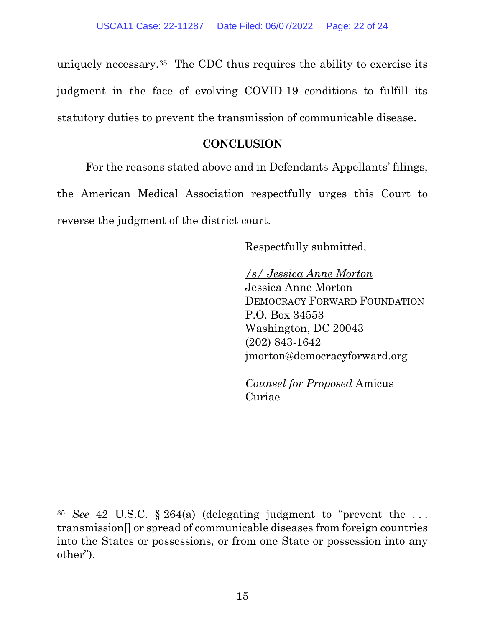uniquely necessary.[35](#page-21-1) The CDC thus requires the ability to exercise its judgment in the face of evolving COVID-19 conditions to fulfill its statutory duties to prevent the transmission of communicable disease.

### **CONCLUSION**

<span id="page-21-0"></span>For the reasons stated above and in Defendants-Appellants' filings, the American Medical Association respectfully urges this Court to reverse the judgment of the district court.

Respectfully submitted,

*/s/ Jessica Anne Morton*  Jessica Anne Morton DEMOCRACY FORWARD FOUNDATION P.O. Box 34553 Washington, DC 20043 (202) 843-1642 jmorton@democracyforward.org

*Counsel for Proposed* Amicus Curiae

<span id="page-21-1"></span><sup>35</sup> *See* 42 U.S.C. § 264(a) (delegating judgment to "prevent the . . . transmission[] or spread of communicable diseases from foreign countries into the States or possessions, or from one State or possession into any other").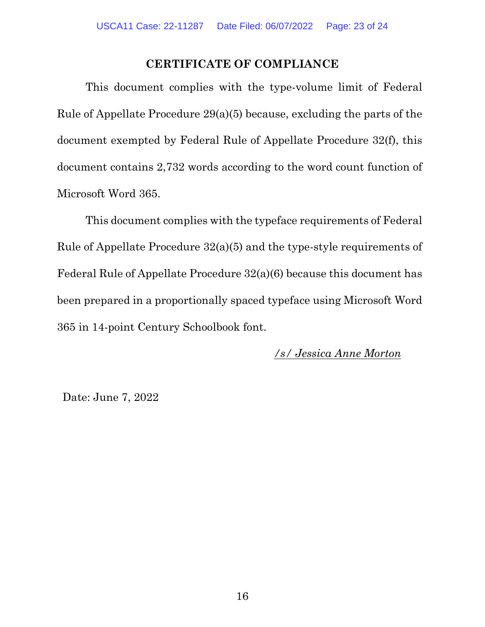### **CERTIFICATE OF COMPLIANCE**

<span id="page-22-0"></span>This document complies with the type-volume limit of Federal Rule of Appellate Procedure 29(a)(5) because, excluding the parts of the document exempted by Federal Rule of Appellate Procedure 32(f), this document contains 2,732 words according to the word count function of Microsoft Word 365.

This document complies with the typeface requirements of Federal Rule of Appellate Procedure 32(a)(5) and the type-style requirements of Federal Rule of Appellate Procedure 32(a)(6) because this document has been prepared in a proportionally spaced typeface using Microsoft Word 365 in 14-point Century Schoolbook font.

### */s/ Jessica Anne Morton*

Date: June 7, 2022